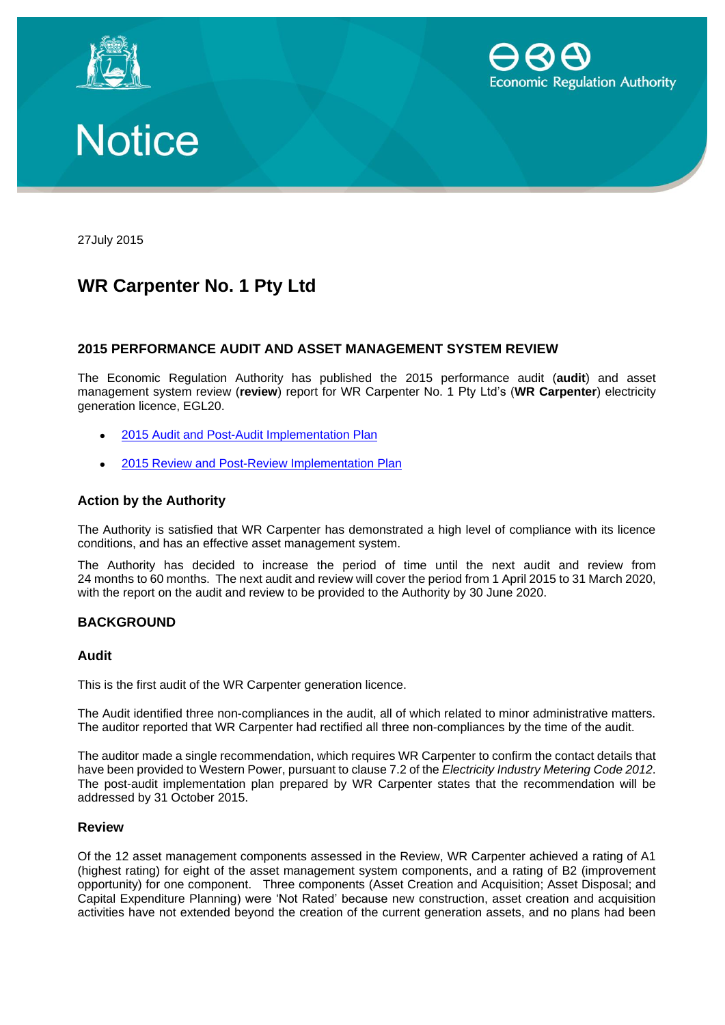





27July 2015

# **WR Carpenter No. 1 Pty Ltd**

## **2015 PERFORMANCE AUDIT AND ASSET MANAGEMENT SYSTEM REVIEW**

The Economic Regulation Authority has published the 2015 performance audit (**audit**) and asset management system review (**review**) report for WR Carpenter No. 1 Pty Ltd's (**WR Carpenter**) electricity generation licence, EGL20.

- 2015 [Audit and Post-Audit Implementation Plan](http://www.erawa.com.au/cproot/13787/2/WR%20Carpenter%20No.%201%20Pty%20Ltd%20-%202015%20Performance%20Audit%20Report%20and%20Post-Audit%20Implementation%20Plan.pdf)
- [2015 Review and Post-Review Implementation Plan](http://www.erawa.com.au/cproot/13786/2/WR%20Carpenter%20No.%201%20Pty%20Ltd%20-%202015%20Asset%20Management%20System%20Review%20Report%20_%20Post-Review%20Implementation%20Plan.pdf)

## **Action by the Authority**

The Authority is satisfied that WR Carpenter has demonstrated a high level of compliance with its licence conditions, and has an effective asset management system.

The Authority has decided to increase the period of time until the next audit and review from 24 months to 60 months. The next audit and review will cover the period from 1 April 2015 to 31 March 2020, with the report on the audit and review to be provided to the Authority by 30 June 2020.

## **BACKGROUND**

#### **Audit**

This is the first audit of the WR Carpenter generation licence.

The Audit identified three non-compliances in the audit, all of which related to minor administrative matters. The auditor reported that WR Carpenter had rectified all three non-compliances by the time of the audit.

The auditor made a single recommendation, which requires WR Carpenter to confirm the contact details that have been provided to Western Power, pursuant to clause 7.2 of the *Electricity Industry Metering Code 2012*. The post-audit implementation plan prepared by WR Carpenter states that the recommendation will be addressed by 31 October 2015.

#### **Review**

Of the 12 asset management components assessed in the Review, WR Carpenter achieved a rating of A1 (highest rating) for eight of the asset management system components, and a rating of B2 (improvement opportunity) for one component. Three components (Asset Creation and Acquisition; Asset Disposal; and Capital Expenditure Planning) were 'Not Rated' because new construction, asset creation and acquisition activities have not extended beyond the creation of the current generation assets, and no plans had been